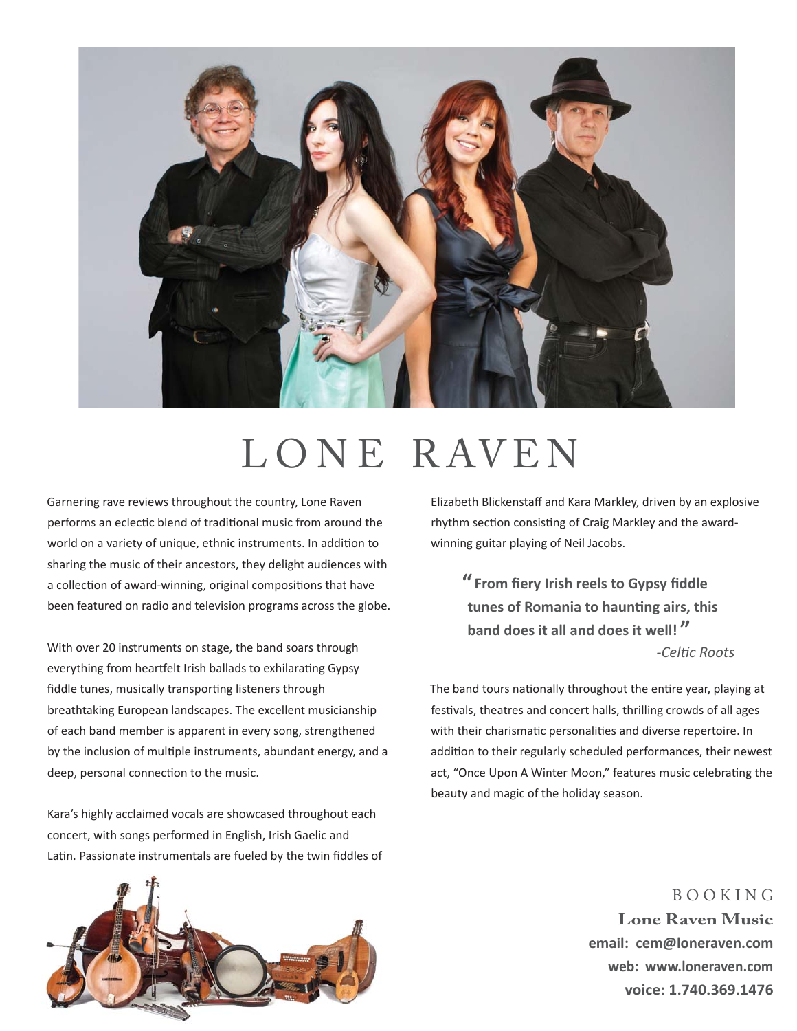

# LONE RAVEN

Garnering rave reviews throughout the country, Lone Raven performs an eclectic blend of traditional music from around the world on a variety of unique, ethnic instruments. In addition to sharing the music of their ancestors, they delight audiences with a collection of award-winning, original compositions that have been featured on radio and television programs across the globe.

With over 20 instruments on stage, the band soars through everything from heartfelt Irish ballads to exhilarating Gypsy fiddle tunes, musically transporting listeners through breathtaking European landscapes. The excellent musicianship of each band member is apparent in every song, strengthened by the inclusion of multiple instruments, abundant energy, and a deep, personal connection to the music.

Kara's highly acclaimed vocals are showcased throughout each concert, with songs performed in English, Irish Gaelic and Latin. Passionate instrumentals are fueled by the twin fiddles of Elizabeth Blickenstaff and Kara Markley, driven by an explosive rhythm section consisting of Craig Markley and the awardwinning guitar playing of Neil Jacobs.

**"** From fiery Irish reels to Gypsy fiddle **tunes of Romania to haunting airs, this band does it all and does it well! "** *-CelƟ c Roots*

The band tours nationally throughout the entire year, playing at festivals, theatres and concert halls, thrilling crowds of all ages with their charismatic personalities and diverse repertoire. In addition to their regularly scheduled performances, their newest act, "Once Upon A Winter Moon," features music celebrating the beauty and magic of the holiday season.



B O O K I N G **Lone Raven Music email: cem@loneraven.com web: www.loneraven.com voice: 1.740.369.1476**